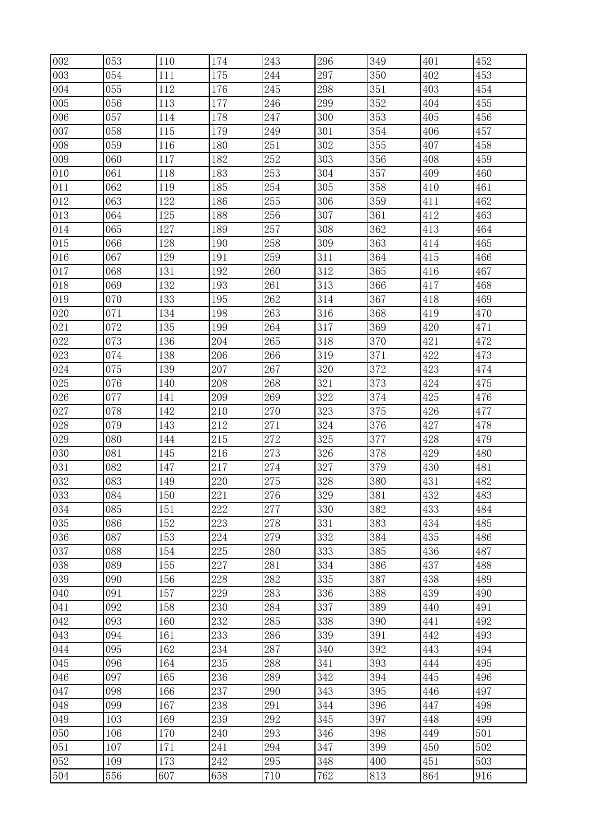| 002 | 053 | 110 | 174 | 243 | 296 | 349 | 401 | 452 |
|-----|-----|-----|-----|-----|-----|-----|-----|-----|
| 003 | 054 | 111 | 175 | 244 | 297 | 350 | 402 | 453 |
| 004 | 055 | 112 | 176 | 245 | 298 | 351 | 403 | 454 |
| 005 | 056 | 113 | 177 | 246 | 299 | 352 | 404 | 455 |
| 006 | 057 | 114 | 178 | 247 | 300 | 353 | 405 | 456 |
| 007 | 058 | 115 | 179 | 249 | 301 | 354 | 406 | 457 |
| 008 | 059 | 116 | 180 | 251 | 302 | 355 | 407 | 458 |
| 009 | 060 | 117 | 182 | 252 | 303 | 356 | 408 | 459 |
| 010 | 061 | 118 | 183 | 253 | 304 | 357 | 409 | 460 |
| 011 | 062 | 119 | 185 | 254 | 305 | 358 | 410 | 461 |
| 012 | 063 | 122 | 186 | 255 | 306 | 359 | 411 | 462 |
| 013 | 064 | 125 | 188 | 256 | 307 | 361 | 412 | 463 |
| 014 | 065 | 127 | 189 | 257 | 308 | 362 | 413 | 464 |
| 015 | 066 | 128 | 190 | 258 | 309 | 363 | 414 | 465 |
| 016 | 067 | 129 | 191 | 259 | 311 | 364 | 415 | 466 |
| 017 | 068 | 131 | 192 | 260 | 312 | 365 | 416 | 467 |
| 018 | 069 | 132 | 193 | 261 | 313 | 366 | 417 | 468 |
| 019 | 070 | 133 | 195 | 262 | 314 | 367 | 418 | 469 |
| 020 | 071 | 134 | 198 | 263 | 316 | 368 | 419 | 470 |
| 021 | 072 | 135 | 199 | 264 | 317 | 369 | 420 | 471 |
| 022 | 073 | 136 | 204 | 265 | 318 | 370 | 421 | 472 |
| 023 | 074 | 138 | 206 | 266 | 319 | 371 | 422 | 473 |
| 024 | 075 | 139 | 207 | 267 | 320 | 372 | 423 | 474 |
| 025 | 076 | 140 | 208 | 268 | 321 | 373 | 424 | 475 |
| 026 | 077 | 141 | 209 | 269 | 322 | 374 | 425 | 476 |
| 027 | 078 | 142 | 210 | 270 | 323 | 375 | 426 | 477 |
| 028 | 079 | 143 | 212 | 271 | 324 | 376 | 427 | 478 |
| 029 | 080 | 144 | 215 | 272 | 325 | 377 | 428 | 479 |
| 030 | 081 | 145 | 216 | 273 | 326 | 378 | 429 | 480 |
| 031 | 082 | 147 | 217 | 274 | 327 | 379 | 430 | 481 |
| 032 | 083 | 149 | 220 | 275 | 328 | 380 | 431 | 482 |
| 033 | 084 | 150 | 221 | 276 | 329 | 381 | 432 | 483 |
| 034 | 085 | 151 | 222 | 277 | 330 | 382 | 433 | 484 |
| 035 | 086 | 152 | 223 | 278 | 331 | 383 | 434 | 485 |
| 036 | 087 | 153 | 224 | 279 | 332 | 384 | 435 | 486 |
| 037 | 088 | 154 | 225 | 280 | 333 | 385 | 436 | 487 |
| 038 | 089 | 155 | 227 | 281 | 334 | 386 | 437 | 488 |
| 039 | 090 | 156 | 228 | 282 | 335 | 387 | 438 | 489 |
| 040 | 091 | 157 | 229 | 283 | 336 | 388 | 439 | 490 |
| 041 | 092 | 158 | 230 | 284 | 337 | 389 | 440 | 491 |
| 042 | 093 | 160 | 232 | 285 | 338 | 390 | 441 | 492 |
| 043 | 094 | 161 | 233 | 286 | 339 | 391 | 442 | 493 |
| 044 | 095 | 162 | 234 | 287 | 340 | 392 | 443 | 494 |
| 045 | 096 | 164 | 235 | 288 | 341 | 393 | 444 | 495 |
| 046 | 097 | 165 | 236 | 289 | 342 | 394 | 445 | 496 |
| 047 | 098 | 166 | 237 | 290 | 343 | 395 | 446 | 497 |
| 048 | 099 | 167 | 238 | 291 | 344 | 396 | 447 | 498 |
| 049 | 103 | 169 | 239 | 292 | 345 | 397 | 448 | 499 |
| 050 | 106 | 170 | 240 | 293 | 346 | 398 | 449 | 501 |
| 051 | 107 | 171 | 241 | 294 | 347 | 399 | 450 | 502 |
| 052 | 109 | 173 | 242 | 295 | 348 | 400 | 451 | 503 |
| 504 | 556 | 607 | 658 | 710 | 762 | 813 | 864 | 916 |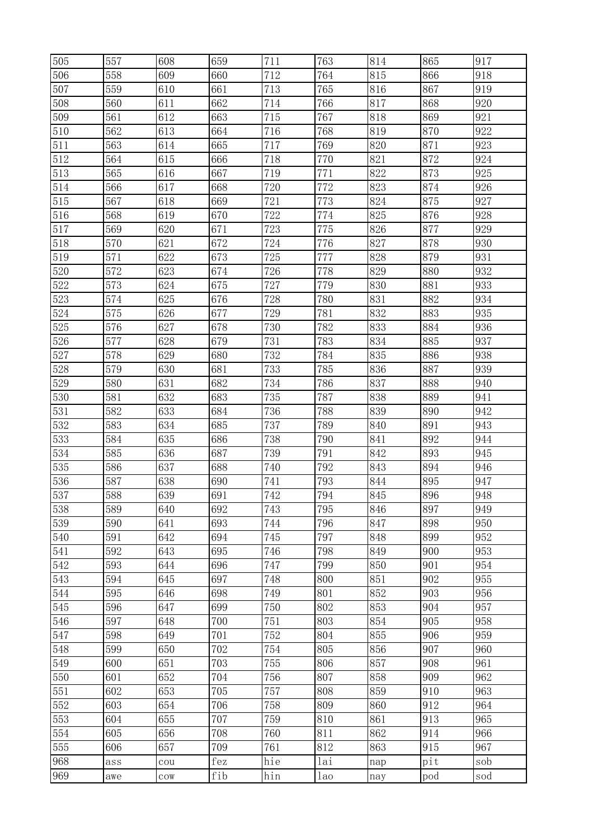| 505        | 557        | 608           | 659        | 711        | 763        | 814        | 865        | 917        |
|------------|------------|---------------|------------|------------|------------|------------|------------|------------|
| 506        | 558        | 609           | 660        | 712        | 764        | 815        | 866        | 918        |
| 507        | 559        | 610           | 661        | 713        | 765        | 816        | 867        | 919        |
| 508        | 560        | 611           | 662        | 714        | 766        | 817        | 868        | 920        |
| 509        | 561        | 612           | 663        | 715        | 767        | 818        | 869        | 921        |
| 510        | 562        | 613           | 664        | 716        | 768        | 819        | 870        | 922        |
| 511        | 563        | 614           | 665        | 717        | 769        | 820        | 871        | 923        |
| 512        | 564        | 615           | 666        | 718        | 770        | 821        | 872        | 924        |
| 513        | 565        | 616           | 667        | 719        | 771        | 822        | 873        | 925        |
| 514        | 566        | 617           | 668        | 720        | 772        | 823        | 874        | 926        |
| 515        | 567        | 618           | 669        | 721        | 773        | 824        | 875        | 927        |
| 516        | 568        | 619           | 670        | 722        | 774        | 825        | 876        | 928        |
| 517        | 569        | 620           | 671        | 723        | 775        | 826        | 877        | 929        |
| 518        | 570        | 621           | 672        | 724        | 776        | 827        | 878        | 930        |
| 519        | 571        | 622           | 673        | 725        | 777        | 828        | 879        | 931        |
| 520        | 572        | 623           | 674        | 726        | 778        | 829        | 880        | 932        |
| 522        | 573        | 624           | 675        | 727        | 779        | 830        | 881        | 933        |
| 523        | 574        | 625           | 676        | 728        | 780        | 831        | 882        | 934        |
| 524        | 575        | 626           | 677        | 729        | 781        | 832        | 883        | 935        |
| 525        | 576        | 627           | 678        | 730        | 782        | 833        | 884        | 936        |
| 526        | 577        | 628           | 679        | 731        | 783        | 834        | 885        | 937        |
| 527        | 578        | 629           | 680        | 732        | 784        | 835        | 886        | 938        |
| 528        | 579        | 630           | 681        | 733        | 785        | 836        | 887        | 939        |
| 529        | 580        | 631           | 682        | 734        | 786        | 837        | 888        | 940        |
| 530        | 581        | 632           | 683        | 735        | 787        | 838        | 889        | 941        |
| 531        | 582        | 633           | 684        | 736        | 788        | 839        | 890        | 942        |
| 532        | 583        | 634           | 685        | 737        | 789        | 840        | 891        | 943        |
| 533        | 584        | 635           | 686        | 738        | 790        | 841        | 892        | 944        |
| 534        | 585        | 636           | 687        | 739        | 791        | 842        | 893        | 945        |
| 535        | 586        | 637           | 688        | 740        | 792        | 843        | 894        | 946        |
| 536        | 587        | 638           | 690        | 741        | 793        | 844        | 895        | 947        |
| 537        | 588        | 639           | 691        | 742        | 794        | 845        | 896        | 948        |
| 538        | 589        | 640           | 692        | 743        | 795        | 846        | 897        | 949        |
| 539        | 590        | 641           | 693        | 744        | 796        | 847        | 898        | 950        |
| 540        | 591        | 642           | 694        | 745        | 797        | 848        | 899        | 952        |
| 541        | 592        | 643           | 695        | 746        | 798        | 849        | 900        | 953        |
| 542        | 593        | 644           | 696        | 747        | 799        | 850        | 901        | 954        |
| 543        | 594        | 645           | 697        | 748        | 800        | 851        | 902        | 955        |
| 544        | 595        | 646           | 698        | 749        | 801        | 852        | 903        | 956        |
| 545        | 596        | 647           | 699        | 750        | 802        | 853        | 904        | 957        |
| 546        | 597        | 648           | 700        | 751        | 803        | 854        | 905        | 958<br>959 |
| 547        | 598        | 649<br>650    | 701<br>702 | 752        | 804<br>805 | 855<br>856 | 906<br>907 | 960        |
| 548<br>549 | 599<br>600 | 651           | 703        | 754<br>755 | 806        | 857        | 908        | 961        |
|            |            | 652           |            |            |            | 858        |            | 962        |
| 550<br>551 | 601<br>602 | 653           | 704<br>705 | 756<br>757 | 807<br>808 | 859        | 909<br>910 | 963        |
| $552\,$    | 603        | 654           | 706        | 758        | 809        | 860        | 912        | 964        |
| 553        | 604        | 655           | 707        | 759        | 810        | 861        | 913        | 965        |
| 554        | 605        | 656           | 708        | 760        | 811        | 862        | 914        | 966        |
| 555        | 606        | 657           | 709        | 761        | 812        | 863        | 915        | 967        |
| 968        |            |               | fez        | hie        | lai        |            | pit        | sob        |
| 969        | ass        | cou           | fib        | hin        |            | nap        |            |            |
|            | awe        | $_{\rm{COW}}$ |            |            | lao        | nay        | pod        | sod        |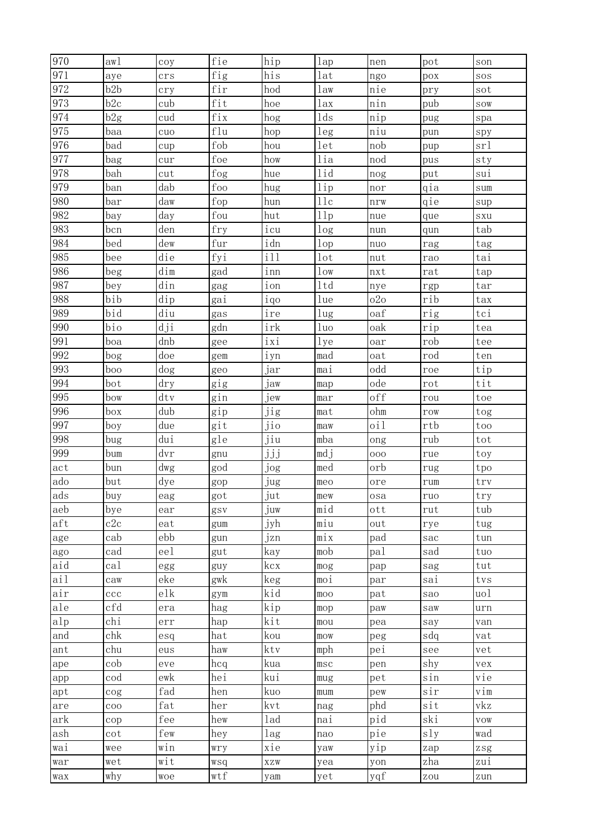| 970        | aw1                     | coy                       | fie                  | hip          | lap             | nen        | pot        | son                                                                     |
|------------|-------------------------|---------------------------|----------------------|--------------|-----------------|------------|------------|-------------------------------------------------------------------------|
| 971        | aye                     | crs                       | fig                  | his          | lat             | ngo        | pox        | SOS                                                                     |
| 972        | b2b                     | cry                       | fir                  | hod          | law             | nie        | pry        | sot                                                                     |
| 973        | b2c                     | cub                       | fit                  | hoe          | lax             | nin        | pub        | SOW                                                                     |
| 974        | b2g                     | cud                       | fix                  | hog          | 1d <sub>S</sub> | nip        | pug        | spa                                                                     |
| 975        | baa                     | cuo                       | flu                  | hop          | leg             | niu        | pun        | spy                                                                     |
| 976        | bad                     | cup                       | fob                  | hou          | let             | nob        | pup        | srl                                                                     |
| 977        | bag                     | cur                       | foe                  | how          | lia             | nod        | pus        | sty                                                                     |
| 978        | bah                     | cut                       | fog                  | hue          | lid             | nog        | put        | sui                                                                     |
| 979        | ban                     | dab                       | foo                  | hug          | 1ip             | nor        | qia        | sum                                                                     |
| 980        | bar                     | daw                       | fop                  | hun          | 11c             | nrw        | qie        | sup                                                                     |
| 982        | bay                     | day                       | fou                  | hut          | 11p             | nue        | que        | SXU                                                                     |
| 983        | bcn                     | den                       | fry                  | icu          | log             | nun        | qun        | tab                                                                     |
| 984        | bed                     | dew                       | $\operatorname{fur}$ | idn          | 1 <sub>op</sub> | nuo        | rag        | tag                                                                     |
| 985        | bee                     | die                       | fyi                  | i11          | 1 <sub>ot</sub> | nut        | rao        | tai                                                                     |
| 986        | beg                     | dim                       | gad                  | inn          | 1 <sub>ow</sub> | nxt        | rat        | tap                                                                     |
| 987        | bey                     | din                       | gag                  | ion          | 1td             | nye        | rgp        | tar                                                                     |
| 988        | bib                     | dip                       | gai                  | iqo          | lue             | 020        | rib        | tax                                                                     |
| 989        | bid                     | diu                       | gas                  | ire          | 1 <sub>ug</sub> | oaf        | rig        | tci                                                                     |
| 990        | bio                     | dji                       | gdn                  | irk          | 1uo             | oak        | rip        | tea                                                                     |
| 991        | boa                     | dnb                       | gee                  | ixi          | $_{\rm lye}$    | oar        | rob        | tee                                                                     |
| 992        | bog                     | doe                       | gem                  | iyn          | mad             | oat        | rod        | ten                                                                     |
| 993        | boo                     | dog                       | geo                  | jar          | mai             | odd        | roe        | tip                                                                     |
| 994        | bot                     | $\mathrm{dry}$            | gig                  | jaw          | map             | ode        | rot        | tit                                                                     |
| 995        | bow                     | dtv                       | gin                  | jew          | mar             | off        | rou        | toe                                                                     |
| 996        | box                     | dub                       | gip                  | jig          | mat             | ohm        | row        | tog                                                                     |
| 997        | boy                     | due                       | git                  | jio          | maw             | oi1        | rtb        | too                                                                     |
| 998        | bug                     | dui                       | gle                  | jiu          | mba             | ong        | rub        | tot                                                                     |
| 999        | bum                     | dvr                       | gnu                  | jjj          | mdj             | 000        | rue        | toy                                                                     |
| act        | bun                     | dwg                       | god                  | jog          | med             | orb        | rug        | tpo                                                                     |
| ado        | but                     | dye                       | gop                  | jug          | meo             | ore        | rum        | trv                                                                     |
| ads        | buy                     | eag                       | got                  | jut          | mew             | osa        | ruo        | try                                                                     |
| aeb        | bye                     | ear                       | gsv                  | juw          | mid             | ott        | rut        | tub                                                                     |
| aft        | c2c                     | eat                       | gum                  | jyh          | miu             | out        | rye        | tug                                                                     |
| age        | cab                     | ebb                       | gun                  | jzn          | mix             | pad        | sac        | tun                                                                     |
| ago        | cad                     | eel                       | gut                  | kay          | mob             | pal        | sad        | tuo                                                                     |
| aid        | cal                     | egg                       | guy                  | kcx          | mog             | pap        | sag        | tut                                                                     |
| ail        | caw                     | eke                       | gwk                  | keg          | moi             | par        | sai        | tvs                                                                     |
| air        | ccc                     | elk                       | gym                  | kid          | $_{\text{moo}}$ | pat        | sao        | $u$ ol                                                                  |
| ale<br>alp | cfd<br>chi              | era                       | hag                  | kip<br>kit   | mop             | paw        | saw        | urn                                                                     |
|            | chk                     | $\ensuremath{\text{err}}$ | hap                  |              | mou             | pea        | say<br>sdq | van                                                                     |
| and        | chu                     | esq                       | hat<br>haw           | kou<br>ktv   | mow             | peg<br>pei |            | vat                                                                     |
| ant        |                         | eus                       |                      |              | mph             |            | see        | vet                                                                     |
| ape        | cob<br>cod              | eve<br>ewk                | hcq<br>hei           | kua<br>kui   | $_{\rm{MSC}}$   | pen<br>pet | shy<br>sin | vex<br>vie                                                              |
| app        |                         | fad                       |                      |              | mug             |            | sir        |                                                                         |
| apt        | $\cos$<br>$_{\rm{COO}}$ | $\operatorname{fat}$      | hen<br>her           | kuo<br>kvt   | mum             | pew<br>phd | sit        | vim<br>vkz                                                              |
| are<br>ark |                         | fee                       | hew                  | lad          | nag<br>nai      | pid        | ski        | <b>VOW</b>                                                              |
| ash        | cop<br>cot              | few                       | hey                  | lag          | nao             | pie        | sly        | wad                                                                     |
| wai        | wee                     | win                       | wry                  | xie          | yaw             | yip        | zap        | $\mathop{\rm z}\nolimits\mathop{\rm s}\nolimits\mathop{\rm g}\nolimits$ |
| war        | wet                     | wit                       | wsq                  | $_{\rm XZW}$ |                 | yon        | zha        | zui                                                                     |
|            | why                     | woe                       | wtf                  | yam          | yea<br>yet      | yqf        | zou        | zun                                                                     |
| wax        |                         |                           |                      |              |                 |            |            |                                                                         |